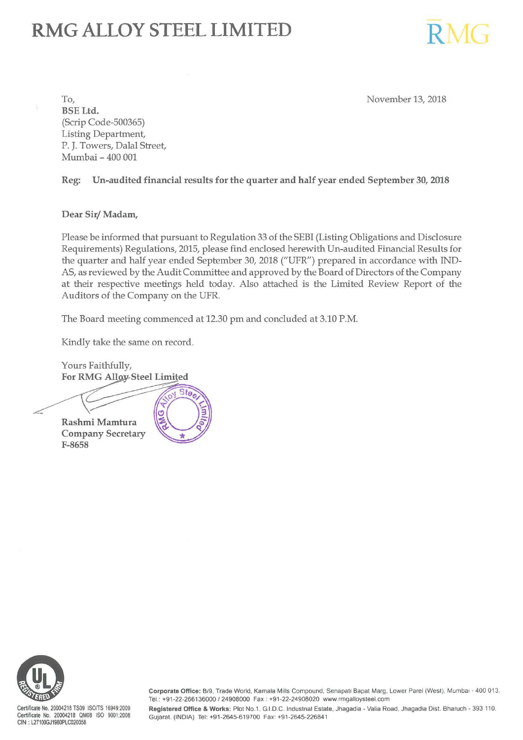# **RMG ALLOY STEEL LIMITED**

November 13, 2018

 $RMG$ 

To, BSE Ltd. (Scrip Code-500365) Listing Department, P. J. Towers, Dalal Street, Mumbai - 400 001

Reg: Un-audited financial results for the quarter and half year ended September 30, 2018

Dear Sir/ Madam,

Please be informed that pursuant to Regulation 33 of the SEBI (Listing Obligations and Disclosure Requirements) Regulations, 2015, please find enclosed herewith Un-audited Financial Results for the quarter and half year ended September 30, 2018 ("UFR") prepared in accordance with IND-AS, as reviewed by the Audit Committee and approved by the Board of Directors of the Company at their respective meetings held today. Also attached is the Limited Review Report of the Auditors of the Company on the UFR.

The Board meeting commenced at 12.30 pm and concluded at 3.10 P.M.

 $Sto<sub>e</sub>$ 

C

Kindly take the same on record.

Yours Faithfully, For RMG Alloy Steel Limited

Rashmi Mamtura Company Secretary F-8658



Certificate No. 20004218 TS09 ISOfTS 16949:2009 Certificate No. 20004218 QM08 ISO 9001:2008 CIN : L27100GJ1980PLC020358

Corporate Office: B/9, Trade World, Kamala Mills Compound, Senapati Bapat Marg, Lower Parel (West). Mumbai - 400 013. Tel.: +91-22-266136000 / 24908000 Fax : +91-22-24908020 www.rmgalloysteel.com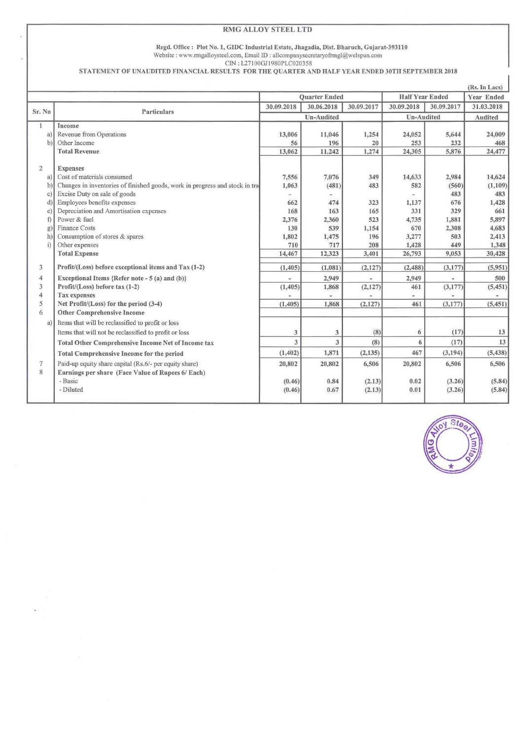### RMG ALLOY STEEL **LTD**

#### Regd. Office : Plot No. 1, GIDC Industrial Estate, Jhagadia, Dist. Bharuch, Gujarat-393110 Website : www.rmgalloysteel.com, Email 1D : allcompanysecretaryofnngl@welspun.com

CIN: I27100GJI 980PLC020358

STATEMENT OF UNAUDITED FINANCIAL RESULTS FOR THE QUARTER AND HALF YEAR ENDED 30TH SEPTEMBER 2018

|                |                                                                              |            |                          |                |                        |              | (Rs. In Lacs) |
|----------------|------------------------------------------------------------------------------|------------|--------------------------|----------------|------------------------|--------------|---------------|
|                |                                                                              |            | Quarter Ended            |                | <b>Half Year Ended</b> |              | Year Ended    |
|                |                                                                              | 30.09.2018 | 30.06.2018               | 30.09.2017     | 30.09.2018             | 30.09.2017   | 31.03.2018    |
| Sr. No         | Particulars                                                                  | Un-Audited |                          | Un-Audited     |                        | Audited      |               |
| 1              | Income                                                                       |            |                          |                |                        |              |               |
| a)             | Revenue from Operations                                                      | 13,006     | 11,046                   | 1,254          | 24,052                 | 5,644        | 24,009        |
| $\mathbf{b}$   | Other Income                                                                 | 56         | 196                      | 20             | 253                    | 232          | 468           |
|                | <b>Total Revenue</b>                                                         | 13,062     | 11,242                   | 1,274          | 24,305                 | 5,876        | 24,477        |
| $\overline{2}$ | <b>Expenses</b>                                                              |            |                          |                |                        |              |               |
| a)             | Cost of materials consumed                                                   | 7,556      | 7,076                    | 349            | 14,633                 | 2,984        | 14,624        |
| b              | Changes in inventories of finished goods, work in progress and stock in tra- | 1,063      | (481)                    | 483            | 582                    | (560)        | (1,109)       |
| $\mathbf{C}$   | Excise Duty on sale of goods                                                 |            |                          |                |                        | 483          | 483           |
| ď              | Employees benefits expenses                                                  | 662        | 474                      | 323            | 1,137                  | 676          | 1,428         |
| ë              | Depreciation and Amortisation expenses                                       | 168        | 163                      | 165            | 331                    | 329          | 661           |
| f              | Power & fuel                                                                 | 2,376      | 2,360                    | 523            | 4,735                  | 1,881        | 5,897         |
| g.             | <b>Finance Costs</b>                                                         | 130        | 539                      | 1,154          | 670                    | 2,308        | 4,683         |
| h)             | Consumption of stores & spares                                               | 1,802      | 1,475                    | 196            | 3,277                  | 503          | 2,413         |
| i)             | Other expenses                                                               | 710        | 717                      | 208            | 1,428                  | 449          | 1,348         |
|                | <b>Total Expense</b>                                                         | 14,467     | 12,323                   | 3,401          | 26,793                 | 9,053        | 30,428        |
| 3              | Profit/(Loss) before exceptional items and Tax (1-2)                         | (1, 405)   | (1,081)                  | (2,127)        | (2, 488)               | (3,177)      | (5,951)       |
| 4              | Exceptional Items {Refer note - 5 (a) and (b)}                               |            | 2,949                    | ×              | 2,949                  | $\mathbf{r}$ | 500           |
| 3              | Profit/(Loss) before tax (1-2)                                               | (1, 405)   | 1,868                    | (2,127)        | 461                    | (3,177)      | (5, 451)      |
| $\overline{4}$ | <b>Tax expenses</b>                                                          |            | $\overline{\phantom{a}}$ | $\blacksquare$ | $\bullet$ :            |              |               |
| 5              | Net Profit/(Loss) for the period (3-4)                                       | (1, 405)   | 1,868                    | (2,127)        | 461                    | (3,177)      | (5, 451)      |
| 6              | <b>Other Comprehensive Income</b>                                            |            |                          |                |                        |              |               |
| a              | Items that will be reclassified to profit or loss                            |            |                          |                |                        |              |               |
|                | Items that will not be reclassified to profit or loss                        | 3          | 3                        | (8)            | 6                      | (17)         | 13            |
|                | <b>Total Other Comprehensive Income Net of Income tax</b>                    | 3          | 3                        | (8)            | 6                      | (17)         | 13            |
|                | <b>Total Comprehensive Income for the period</b>                             | (1, 402)   | 1,871                    | (2, 135)       | 467                    | (3, 194)     | (5, 438)      |
| $7\phantom{.}$ | Paid-up equity share capital (Rs.6/- per equity share)                       | 20,802     | 20,802                   | 6,506          | 20,802                 | 6,506        | 6,506         |
| 8              | Earnings per share (Face Value of Rupees 6/ Each)                            |            |                          |                |                        |              |               |
|                | - Basic                                                                      | (0.46)     | 0.84                     | (2.13)         | 0.02                   | (3.26)       | (5.84)        |
|                | - Diluted                                                                    | (0.46)     | 0.67                     | (2.13)         | 0.01                   | (3.26)       | (5.84)        |
|                |                                                                              |            |                          |                |                        |              |               |

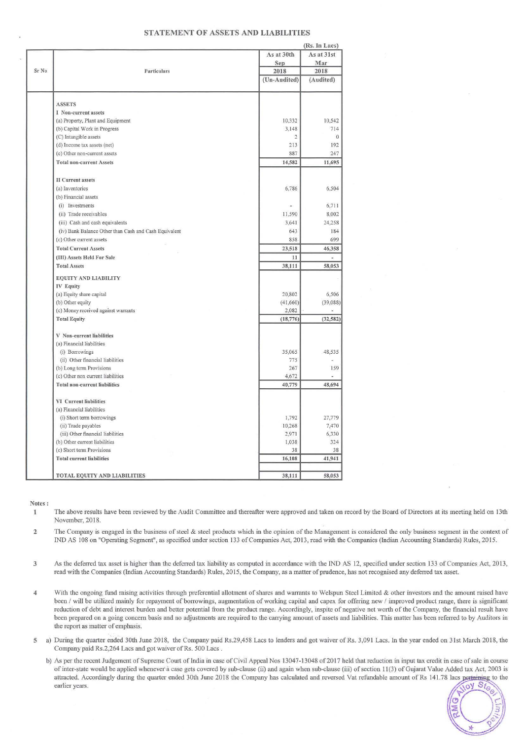#### STATEMENT OF ASSETS AND LIABILITIES

| As at 30th<br>As at 31st<br>Mar<br>Sep<br>Particulars<br>2018<br>2018<br>(Un-Audited)<br>(Audited)<br><b>ASSETS</b><br>I Non-current assets<br>(a) Property, Plant and Equipment<br>10,332<br>10,542<br>3,148<br>(b) Capital Work in Progress<br>714<br>(C) Intangible assets<br>$\overline{2}$<br>$\mathbf{0}$<br>192<br>(d) Income tax assets (net)<br>213<br>887<br>247<br>(e) Other non-current assets<br><b>Total non-current Assets</b><br>14,582<br>11,695<br><b>II</b> Current assets<br>(a) Inventories<br>6,786<br>(b) Financial assets<br>(i) Investments<br>u,<br>(ii) Trade receivables<br>11,590<br>3,641<br>(iii) Cash and cash equivalents<br>(iv) Bank Balance Other than Cash and Cash Equivalent<br>643<br>858<br>(c) Other current assets<br>23,518<br><b>Total Current Assets</b><br>(III) Assets Held For Sale<br>11<br>D<br><b>Total Assets</b><br>38,111<br><b>EQUITY AND LIABILITY</b><br><b>IV Equity</b><br>20,802<br>(a) Equity share capital<br>(b) Other equity<br>(41,660)<br>(c) Money received against warrants<br>2,082<br>(18, 776)<br><b>Total Equity</b><br>V Non-current liabilities<br>(a) Financial liabilities<br>(i) Borrowings<br>35,065<br>48,535<br>(ii) Other financial liabilities<br>775<br>267<br>159<br>(b) Long term Provisions<br>4,672<br>(c) Other non current liabilities<br>48,694<br><b>Total non-current liabilities</b><br>40,779<br><b>VI</b> Current liabilities<br>(a) Financial liabilities<br>1,792<br>(i) Short term borrowings<br>10,268<br>(ii) Trade payables<br>2,971<br>(iii) Other financial liabilities<br>(b) Other current liabilities<br>1,038<br>(c) Short term Provisions<br>38<br>16,108<br><b>Total current liabilities</b><br>TOTAL EQUITY AND LIABILITIES<br>38,111 |       |  | (Rs. In Lacs) |
|------------------------------------------------------------------------------------------------------------------------------------------------------------------------------------------------------------------------------------------------------------------------------------------------------------------------------------------------------------------------------------------------------------------------------------------------------------------------------------------------------------------------------------------------------------------------------------------------------------------------------------------------------------------------------------------------------------------------------------------------------------------------------------------------------------------------------------------------------------------------------------------------------------------------------------------------------------------------------------------------------------------------------------------------------------------------------------------------------------------------------------------------------------------------------------------------------------------------------------------------------------------------------------------------------------------------------------------------------------------------------------------------------------------------------------------------------------------------------------------------------------------------------------------------------------------------------------------------------------------------------------------------------------------------------------------------------------------------------------------------------|-------|--|---------------|
|                                                                                                                                                                                                                                                                                                                                                                                                                                                                                                                                                                                                                                                                                                                                                                                                                                                                                                                                                                                                                                                                                                                                                                                                                                                                                                                                                                                                                                                                                                                                                                                                                                                                                                                                                      |       |  |               |
|                                                                                                                                                                                                                                                                                                                                                                                                                                                                                                                                                                                                                                                                                                                                                                                                                                                                                                                                                                                                                                                                                                                                                                                                                                                                                                                                                                                                                                                                                                                                                                                                                                                                                                                                                      |       |  |               |
|                                                                                                                                                                                                                                                                                                                                                                                                                                                                                                                                                                                                                                                                                                                                                                                                                                                                                                                                                                                                                                                                                                                                                                                                                                                                                                                                                                                                                                                                                                                                                                                                                                                                                                                                                      | Sr No |  |               |
|                                                                                                                                                                                                                                                                                                                                                                                                                                                                                                                                                                                                                                                                                                                                                                                                                                                                                                                                                                                                                                                                                                                                                                                                                                                                                                                                                                                                                                                                                                                                                                                                                                                                                                                                                      |       |  |               |
|                                                                                                                                                                                                                                                                                                                                                                                                                                                                                                                                                                                                                                                                                                                                                                                                                                                                                                                                                                                                                                                                                                                                                                                                                                                                                                                                                                                                                                                                                                                                                                                                                                                                                                                                                      |       |  |               |
|                                                                                                                                                                                                                                                                                                                                                                                                                                                                                                                                                                                                                                                                                                                                                                                                                                                                                                                                                                                                                                                                                                                                                                                                                                                                                                                                                                                                                                                                                                                                                                                                                                                                                                                                                      |       |  |               |
|                                                                                                                                                                                                                                                                                                                                                                                                                                                                                                                                                                                                                                                                                                                                                                                                                                                                                                                                                                                                                                                                                                                                                                                                                                                                                                                                                                                                                                                                                                                                                                                                                                                                                                                                                      |       |  |               |
|                                                                                                                                                                                                                                                                                                                                                                                                                                                                                                                                                                                                                                                                                                                                                                                                                                                                                                                                                                                                                                                                                                                                                                                                                                                                                                                                                                                                                                                                                                                                                                                                                                                                                                                                                      |       |  |               |
|                                                                                                                                                                                                                                                                                                                                                                                                                                                                                                                                                                                                                                                                                                                                                                                                                                                                                                                                                                                                                                                                                                                                                                                                                                                                                                                                                                                                                                                                                                                                                                                                                                                                                                                                                      |       |  |               |
|                                                                                                                                                                                                                                                                                                                                                                                                                                                                                                                                                                                                                                                                                                                                                                                                                                                                                                                                                                                                                                                                                                                                                                                                                                                                                                                                                                                                                                                                                                                                                                                                                                                                                                                                                      |       |  |               |
|                                                                                                                                                                                                                                                                                                                                                                                                                                                                                                                                                                                                                                                                                                                                                                                                                                                                                                                                                                                                                                                                                                                                                                                                                                                                                                                                                                                                                                                                                                                                                                                                                                                                                                                                                      |       |  |               |
|                                                                                                                                                                                                                                                                                                                                                                                                                                                                                                                                                                                                                                                                                                                                                                                                                                                                                                                                                                                                                                                                                                                                                                                                                                                                                                                                                                                                                                                                                                                                                                                                                                                                                                                                                      |       |  |               |
|                                                                                                                                                                                                                                                                                                                                                                                                                                                                                                                                                                                                                                                                                                                                                                                                                                                                                                                                                                                                                                                                                                                                                                                                                                                                                                                                                                                                                                                                                                                                                                                                                                                                                                                                                      |       |  |               |
|                                                                                                                                                                                                                                                                                                                                                                                                                                                                                                                                                                                                                                                                                                                                                                                                                                                                                                                                                                                                                                                                                                                                                                                                                                                                                                                                                                                                                                                                                                                                                                                                                                                                                                                                                      |       |  |               |
|                                                                                                                                                                                                                                                                                                                                                                                                                                                                                                                                                                                                                                                                                                                                                                                                                                                                                                                                                                                                                                                                                                                                                                                                                                                                                                                                                                                                                                                                                                                                                                                                                                                                                                                                                      |       |  | 6,504         |
|                                                                                                                                                                                                                                                                                                                                                                                                                                                                                                                                                                                                                                                                                                                                                                                                                                                                                                                                                                                                                                                                                                                                                                                                                                                                                                                                                                                                                                                                                                                                                                                                                                                                                                                                                      |       |  |               |
|                                                                                                                                                                                                                                                                                                                                                                                                                                                                                                                                                                                                                                                                                                                                                                                                                                                                                                                                                                                                                                                                                                                                                                                                                                                                                                                                                                                                                                                                                                                                                                                                                                                                                                                                                      |       |  | 6,711         |
|                                                                                                                                                                                                                                                                                                                                                                                                                                                                                                                                                                                                                                                                                                                                                                                                                                                                                                                                                                                                                                                                                                                                                                                                                                                                                                                                                                                                                                                                                                                                                                                                                                                                                                                                                      |       |  | 8,002         |
|                                                                                                                                                                                                                                                                                                                                                                                                                                                                                                                                                                                                                                                                                                                                                                                                                                                                                                                                                                                                                                                                                                                                                                                                                                                                                                                                                                                                                                                                                                                                                                                                                                                                                                                                                      |       |  | 24,258        |
|                                                                                                                                                                                                                                                                                                                                                                                                                                                                                                                                                                                                                                                                                                                                                                                                                                                                                                                                                                                                                                                                                                                                                                                                                                                                                                                                                                                                                                                                                                                                                                                                                                                                                                                                                      |       |  | 184           |
|                                                                                                                                                                                                                                                                                                                                                                                                                                                                                                                                                                                                                                                                                                                                                                                                                                                                                                                                                                                                                                                                                                                                                                                                                                                                                                                                                                                                                                                                                                                                                                                                                                                                                                                                                      |       |  | 699           |
|                                                                                                                                                                                                                                                                                                                                                                                                                                                                                                                                                                                                                                                                                                                                                                                                                                                                                                                                                                                                                                                                                                                                                                                                                                                                                                                                                                                                                                                                                                                                                                                                                                                                                                                                                      |       |  | 46,358        |
|                                                                                                                                                                                                                                                                                                                                                                                                                                                                                                                                                                                                                                                                                                                                                                                                                                                                                                                                                                                                                                                                                                                                                                                                                                                                                                                                                                                                                                                                                                                                                                                                                                                                                                                                                      |       |  |               |
|                                                                                                                                                                                                                                                                                                                                                                                                                                                                                                                                                                                                                                                                                                                                                                                                                                                                                                                                                                                                                                                                                                                                                                                                                                                                                                                                                                                                                                                                                                                                                                                                                                                                                                                                                      |       |  | 58,053        |
|                                                                                                                                                                                                                                                                                                                                                                                                                                                                                                                                                                                                                                                                                                                                                                                                                                                                                                                                                                                                                                                                                                                                                                                                                                                                                                                                                                                                                                                                                                                                                                                                                                                                                                                                                      |       |  |               |
|                                                                                                                                                                                                                                                                                                                                                                                                                                                                                                                                                                                                                                                                                                                                                                                                                                                                                                                                                                                                                                                                                                                                                                                                                                                                                                                                                                                                                                                                                                                                                                                                                                                                                                                                                      |       |  |               |
|                                                                                                                                                                                                                                                                                                                                                                                                                                                                                                                                                                                                                                                                                                                                                                                                                                                                                                                                                                                                                                                                                                                                                                                                                                                                                                                                                                                                                                                                                                                                                                                                                                                                                                                                                      |       |  | 6,506         |
|                                                                                                                                                                                                                                                                                                                                                                                                                                                                                                                                                                                                                                                                                                                                                                                                                                                                                                                                                                                                                                                                                                                                                                                                                                                                                                                                                                                                                                                                                                                                                                                                                                                                                                                                                      |       |  | (39, 088)     |
|                                                                                                                                                                                                                                                                                                                                                                                                                                                                                                                                                                                                                                                                                                                                                                                                                                                                                                                                                                                                                                                                                                                                                                                                                                                                                                                                                                                                                                                                                                                                                                                                                                                                                                                                                      |       |  |               |
|                                                                                                                                                                                                                                                                                                                                                                                                                                                                                                                                                                                                                                                                                                                                                                                                                                                                                                                                                                                                                                                                                                                                                                                                                                                                                                                                                                                                                                                                                                                                                                                                                                                                                                                                                      |       |  | (32, 582)     |
|                                                                                                                                                                                                                                                                                                                                                                                                                                                                                                                                                                                                                                                                                                                                                                                                                                                                                                                                                                                                                                                                                                                                                                                                                                                                                                                                                                                                                                                                                                                                                                                                                                                                                                                                                      |       |  |               |
|                                                                                                                                                                                                                                                                                                                                                                                                                                                                                                                                                                                                                                                                                                                                                                                                                                                                                                                                                                                                                                                                                                                                                                                                                                                                                                                                                                                                                                                                                                                                                                                                                                                                                                                                                      |       |  |               |
|                                                                                                                                                                                                                                                                                                                                                                                                                                                                                                                                                                                                                                                                                                                                                                                                                                                                                                                                                                                                                                                                                                                                                                                                                                                                                                                                                                                                                                                                                                                                                                                                                                                                                                                                                      |       |  |               |
|                                                                                                                                                                                                                                                                                                                                                                                                                                                                                                                                                                                                                                                                                                                                                                                                                                                                                                                                                                                                                                                                                                                                                                                                                                                                                                                                                                                                                                                                                                                                                                                                                                                                                                                                                      |       |  |               |
|                                                                                                                                                                                                                                                                                                                                                                                                                                                                                                                                                                                                                                                                                                                                                                                                                                                                                                                                                                                                                                                                                                                                                                                                                                                                                                                                                                                                                                                                                                                                                                                                                                                                                                                                                      |       |  |               |
|                                                                                                                                                                                                                                                                                                                                                                                                                                                                                                                                                                                                                                                                                                                                                                                                                                                                                                                                                                                                                                                                                                                                                                                                                                                                                                                                                                                                                                                                                                                                                                                                                                                                                                                                                      |       |  |               |
|                                                                                                                                                                                                                                                                                                                                                                                                                                                                                                                                                                                                                                                                                                                                                                                                                                                                                                                                                                                                                                                                                                                                                                                                                                                                                                                                                                                                                                                                                                                                                                                                                                                                                                                                                      |       |  |               |
|                                                                                                                                                                                                                                                                                                                                                                                                                                                                                                                                                                                                                                                                                                                                                                                                                                                                                                                                                                                                                                                                                                                                                                                                                                                                                                                                                                                                                                                                                                                                                                                                                                                                                                                                                      |       |  |               |
|                                                                                                                                                                                                                                                                                                                                                                                                                                                                                                                                                                                                                                                                                                                                                                                                                                                                                                                                                                                                                                                                                                                                                                                                                                                                                                                                                                                                                                                                                                                                                                                                                                                                                                                                                      |       |  |               |
|                                                                                                                                                                                                                                                                                                                                                                                                                                                                                                                                                                                                                                                                                                                                                                                                                                                                                                                                                                                                                                                                                                                                                                                                                                                                                                                                                                                                                                                                                                                                                                                                                                                                                                                                                      |       |  | 27,779        |
|                                                                                                                                                                                                                                                                                                                                                                                                                                                                                                                                                                                                                                                                                                                                                                                                                                                                                                                                                                                                                                                                                                                                                                                                                                                                                                                                                                                                                                                                                                                                                                                                                                                                                                                                                      |       |  | 7,470         |
|                                                                                                                                                                                                                                                                                                                                                                                                                                                                                                                                                                                                                                                                                                                                                                                                                                                                                                                                                                                                                                                                                                                                                                                                                                                                                                                                                                                                                                                                                                                                                                                                                                                                                                                                                      |       |  | 6,330         |
|                                                                                                                                                                                                                                                                                                                                                                                                                                                                                                                                                                                                                                                                                                                                                                                                                                                                                                                                                                                                                                                                                                                                                                                                                                                                                                                                                                                                                                                                                                                                                                                                                                                                                                                                                      |       |  | 324           |
|                                                                                                                                                                                                                                                                                                                                                                                                                                                                                                                                                                                                                                                                                                                                                                                                                                                                                                                                                                                                                                                                                                                                                                                                                                                                                                                                                                                                                                                                                                                                                                                                                                                                                                                                                      |       |  | 38            |
|                                                                                                                                                                                                                                                                                                                                                                                                                                                                                                                                                                                                                                                                                                                                                                                                                                                                                                                                                                                                                                                                                                                                                                                                                                                                                                                                                                                                                                                                                                                                                                                                                                                                                                                                                      |       |  | 41,941        |
|                                                                                                                                                                                                                                                                                                                                                                                                                                                                                                                                                                                                                                                                                                                                                                                                                                                                                                                                                                                                                                                                                                                                                                                                                                                                                                                                                                                                                                                                                                                                                                                                                                                                                                                                                      |       |  | 58,053        |

#### Notes:

- 1 The above results have been reviewed by the Audit Committee and thereafter were approved and taken on record by the Board of Directors at its meeting held on 13th November, 2018.
- 2 The Company is engaged in the business of steel & steel products which in the opinion of the Management is considered the only business segment in the context of IND AS 108 on "Operating Segment", as specified under section 133 of Companies Act, 20 13, read with the Companies (Indian Accounting Standards) Rules, 20 15.
- 3 As the deferred tax asset is higher than the deferred tax liability as computed in accordance with the lND AS 12, specified under section 133 of Companies Act, 2013, read with the Companies (Indian Accounting Standards) Rules, 2015, the Company, as a matter of prudence, has not recognised any deferred tax asset.
- 4 With the ongoing fund raising activities through preferential allotment of shares and warrants to Welspun Steel Limited & other investors and the amount raised have been / will be utilized mainly for repayment of borrowings, augmentation of working capital and capex for offering new / improved product range, there is significant reduction of debt and interest burden and better potential from the product range. Accordingly, inspite of negative net worth of the Company, the financial result have been prepared on a going concern basis and no adjustments are required to the carrying amount of assets and liabilities. This matter has been referred to by Auditors in the report as matter of emphasis.
- 5 a) During the quarter ended 30th June 2018, the Company paid Rs.29,458 Lacs to lenders and got waiver of Rs. 3,091 Lacs. In the year ended on 31st March 2018, the Company paid Rs.2,264 Lacs and got waiver of Rs. 500 Lacs.
	- b) As per the recent Judgement of Supreme Court of India in case of Civil Appeal Nos 13047-13048 of 2017 held that reduction in input tax credit in case of sale in course of inter-state would be applied whenever à case gets covered by sub-clause (ii) and again when sub-clause (iii) of section 11(3) of Gujarat Value Added tax Act, 2003 is attracted. Accordingly during the quarter ended 30th June 2018 the Company has calculated and reversed Vat refundable amount of Rs 141.78 lacs pertaining to the earlier years. S

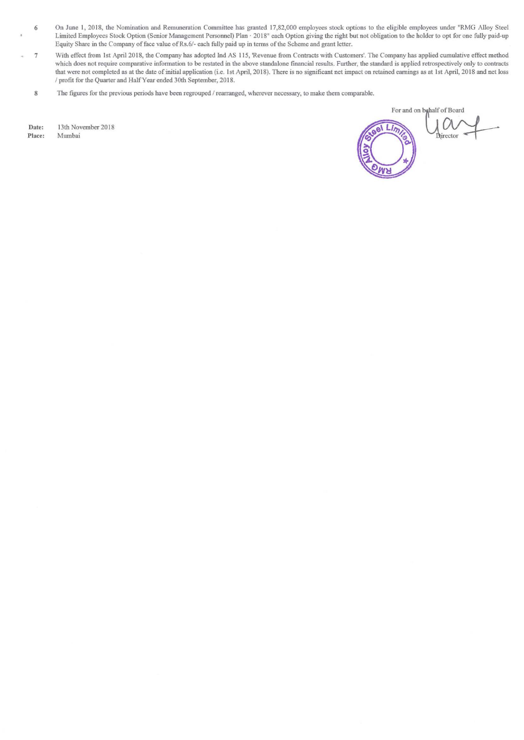- 6 On June I, 2018, the Nomination and Remuneration Committee has granted 17,82,000 employees stock options to the eligible employees under "RMG Alloy Steel Limited Employees Stock Option (Senior Management Personnel) Plan · 20 18" each Option giving the right but not obligation to the holder to opt for one fully paid-up Equity Share in the Company of face value of Rs.6/- each fully paid up in terms of the Scheme and grant letter.
- 7 With effect from 1st April 2018, the Company has adopted Ind AS 115, 'Revenue from Contracts with Customers'. The Company has applied cumulative effect method which does not require comparative information to be restated in the above standalone financial results. Further, the standard is applied retrospectively only to contracts that were not completed as at the date of initial application (i.e. 1st April, 2018). There is no significant net impact on retained earnings as at 1st April, 2018 and net loss / profit for the Quarter and Half Year ended 30th September, 2018.
	- 8 The figures for the previous periods have been regrouped / rearranged, wherever necessary, to make them comparable.

Date: 13th November 2018<br>Place: Mumbai Mumbai